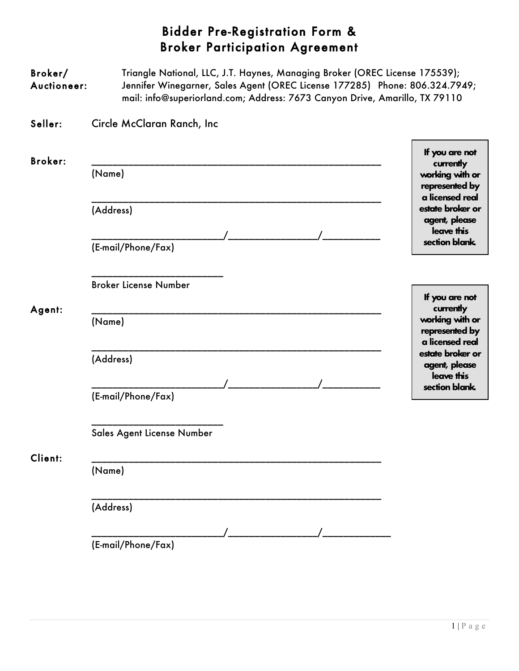## Bidder Pre-Registration Form & Broker Participation Agreement

| Broker/<br>Auctioneer: | Triangle National, LLC, J.T. Haynes, Managing Broker (OREC License 175539);<br>Jennifer Winegarner, Sales Agent (OREC License 177285) Phone: 806.324.7949;<br>mail: info@superiorland.com; Address: 7673 Canyon Drive, Amarillo, TX 79110 |                                                                                     |
|------------------------|-------------------------------------------------------------------------------------------------------------------------------------------------------------------------------------------------------------------------------------------|-------------------------------------------------------------------------------------|
| Seller:                | Circle McClaran Ranch, Inc                                                                                                                                                                                                                |                                                                                     |
| <b>Broker:</b>         | (Name)                                                                                                                                                                                                                                    | If you are not<br>currently<br>working with or<br>represented by<br>a licensed real |
|                        | (Address)<br>(E-mail/Phone/Fax)                                                                                                                                                                                                           | estate broker or<br>agent, please<br>leave this<br>section blank.                   |
| Agent:                 | <b>Broker License Number</b>                                                                                                                                                                                                              | If you are not<br>currently<br>working with or<br>represented by<br>a licensed real |
|                        | (Name)                                                                                                                                                                                                                                    |                                                                                     |
|                        | (Address)                                                                                                                                                                                                                                 | estate broker or<br>agent, please<br>leave this<br>section blank.                   |
|                        | (E-mail/Phone/Fax)                                                                                                                                                                                                                        |                                                                                     |
| Client:                | Sales Agent License Number                                                                                                                                                                                                                |                                                                                     |
|                        | (Name)                                                                                                                                                                                                                                    |                                                                                     |
|                        | (Address)<br>(E-mail/Phone/Fax)                                                                                                                                                                                                           |                                                                                     |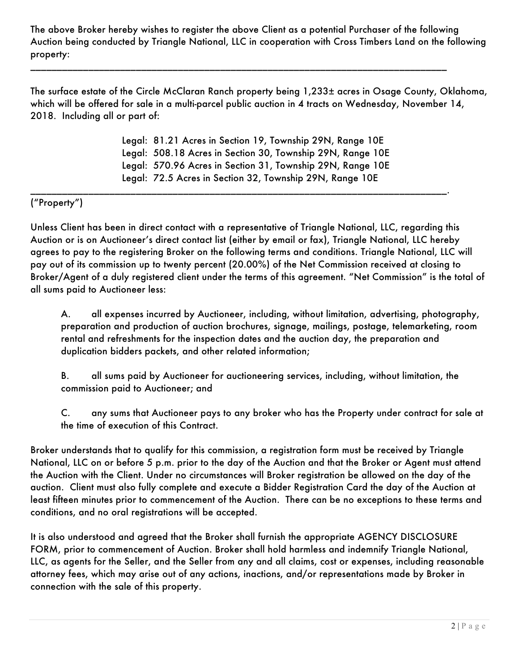The above Broker hereby wishes to register the above Client as a potential Purchaser of the following Auction being conducted by Triangle National, LLC in cooperation with Cross Timbers Land on the following property:

\_\_\_\_\_\_\_\_\_\_\_\_\_\_\_\_\_\_\_\_\_\_\_\_\_\_\_\_\_\_\_\_\_\_\_\_\_\_\_\_\_\_\_\_\_\_\_\_\_\_\_\_\_\_\_\_\_\_\_\_\_\_\_\_\_\_\_\_\_\_\_\_\_\_\_\_\_\_\_

The surface estate of the Circle McClaran Ranch property being 1,233± acres in Osage County, Oklahoma, which will be offered for sale in a multi-parcel public auction in 4 tracts on Wednesday, November 14, 2018. Including all or part of:

> Legal: 81.21 Acres in Section 19, Township 29N, Range 10E Legal: 508.18 Acres in Section 30, Township 29N, Range 10E Legal: 570.96 Acres in Section 31, Township 29N, Range 10E Legal: 72.5 Acres in Section 32, Township 29N, Range 10E

\_\_\_\_\_\_\_\_\_\_\_\_\_\_\_\_\_\_\_\_\_\_\_\_\_\_\_\_\_\_\_\_\_\_\_\_\_\_\_\_\_\_\_\_\_\_\_\_\_\_\_\_\_\_\_\_\_\_\_\_\_\_\_\_\_\_\_\_\_\_\_\_\_\_\_\_\_\_\_.

## ("Property")

Unless Client has been in direct contact with a representative of Triangle National, LLC, regarding this Auction or is on Auctioneer's direct contact list (either by email or fax), Triangle National, LLC hereby agrees to pay to the registering Broker on the following terms and conditions. Triangle National, LLC will pay out of its commission up to twenty percent (20.00%) of the Net Commission received at closing to Broker/Agent of a duly registered client under the terms of this agreement. "Net Commission" is the total of all sums paid to Auctioneer less:

A. all expenses incurred by Auctioneer, including, without limitation, advertising, photography, preparation and production of auction brochures, signage, mailings, postage, telemarketing, room rental and refreshments for the inspection dates and the auction day, the preparation and duplication bidders packets, and other related information;

B. all sums paid by Auctioneer for auctioneering services, including, without limitation, the commission paid to Auctioneer; and

C. any sums that Auctioneer pays to any broker who has the Property under contract for sale at the time of execution of this Contract.

Broker understands that to qualify for this commission, a registration form must be received by Triangle National, LLC on or before 5 p.m. prior to the day of the Auction and that the Broker or Agent must attend the Auction with the Client. Under no circumstances will Broker registration be allowed on the day of the auction. Client must also fully complete and execute a Bidder Registration Card the day of the Auction at least fifteen minutes prior to commencement of the Auction. There can be no exceptions to these terms and conditions, and no oral registrations will be accepted.

It is also understood and agreed that the Broker shall furnish the appropriate AGENCY DISCLOSURE FORM, prior to commencement of Auction. Broker shall hold harmless and indemnify Triangle National, LLC, as agents for the Seller, and the Seller from any and all claims, cost or expenses, including reasonable attorney fees, which may arise out of any actions, inactions, and/or representations made by Broker in connection with the sale of this property.